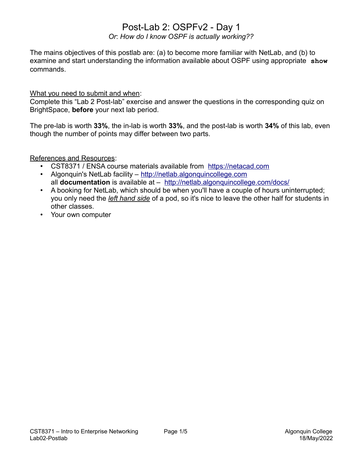# Post-Lab 2: OSPFv2 - Day 1

*Or*: *How do I know OSPF is actually working??*

The mains objectives of this postlab are: (a) to become more familiar with NetLab, and (b) to examine and start understanding the information available about OSPF using appropriate **show** commands.

What you need to submit and when:

Complete this "Lab 2 Post-lab" exercise and answer the questions in the corresponding quiz on BrightSpace, **before** your next lab period.

The pre-lab is worth **33%**, the in-lab is worth **33%**, and the post-lab is worth **34%** of this lab, even though the number of points may differ between two parts.

References and Resources:

- CST8371 / ENSA course materials available from [https://netacad.com](https://netacad.com/)
- Algonquin's NetLab facility – [http://netlab.algonquincollege.com](http://netlab.algonquincollege.com/) all **documentation** is available at – <http://netlab.algonquincollege.com/docs/>
- A booking for NetLab, which should be when you'll have a couple of hours uninterrupted; you only need the *left hand side* of a pod, so it's nice to leave the other half for students in other classes.
- Your own computer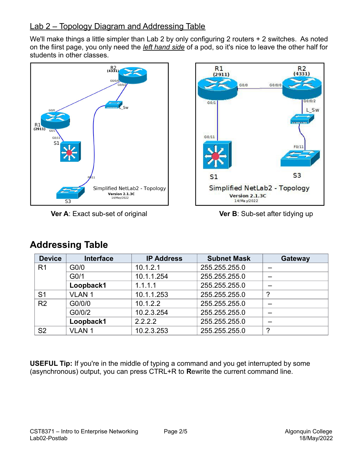## Lab 2 – Topology Diagram and Addressing Table

We'll make things a little simpler than Lab 2 by only configuring 2 routers + 2 switches. As noted on the fiirst page, you only need the *left hand side* of a pod, so it's nice to leave the other half for students in other classes.



**Ver A**: Exact sub-set of original **Ver B**: Sub-set after tidying up



| <b>Device</b>  | <b>Interface</b>  | <b>IP Address</b> | <b>Subnet Mask</b> | Gateway |
|----------------|-------------------|-------------------|--------------------|---------|
| R <sub>1</sub> | G <sub>0</sub> /0 | 10.1.2.1          | 255.255.255.0      |         |
|                | G <sub>0/1</sub>  | 10.1.1.254        | 255.255.255.0      |         |
|                | Loopback1         | 1.1.1.1           | 255.255.255.0      |         |
| S <sub>1</sub> | <b>VLAN1</b>      | 10.1.1.253        | 255.255.255.0      | 2       |
| R <sub>2</sub> | G0/0/0            | 10.1.2.2          | 255.255.255.0      |         |
|                | G0/0/2            | 10.2.3.254        | 255.255.255.0      |         |
|                | Loopback1         | 2.2.2.2           | 255.255.255.0      |         |
| S <sub>2</sub> | <b>VLAN1</b>      | 10.2.3.253        | 255.255.255.0      | ာ       |

# **Addressing Table**

**USEFUL Tip:** If you're in the middle of typing a command and you get interrupted by some (asynchronous) output, you can press CTRL+R to **R**ewrite the current command line.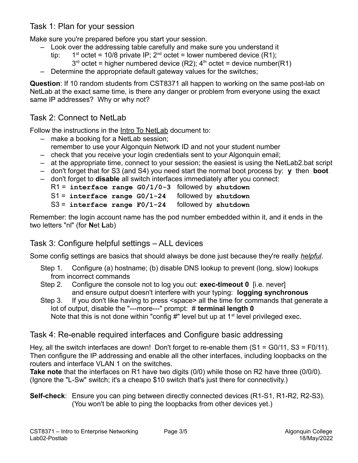### Task 1: Plan for your session

Make sure you're prepared before you start your session.

- Look over the addressing table carefully and make sure you understand it
	- tip: 1<sup>st</sup> octet = 10/8 private IP;  $2^{nd}$  octet = lower numbered device (R1);  $3<sup>rd</sup>$  octet = higher numbered device (R2);  $4<sup>th</sup>$  octet = device number(R1)
- Determine the appropriate default gateway values for the switches;

**Question**: If 10 random students from CST8371 all happen to working on the same post-lab on NetLab at the exact same time, is there any danger or problem from everyone using the exact same IP addresses? Why or why not?

### Task 2: Connect to NetLab

Follow the instructions in the Intro To NetLab document to:

- make a booking for a NetLab session; remember to use your Algonquin Network ID and not your student number
- check that you receive your login credentials sent to your Algonquin email;
- at the appropriate time, connect to your session; the easiest is using the NetLab2.bat script
- don't forget that for S3 (and S4) you need start the normal boot process by: **y** then **boot**
- don't forget to **disable** all switch interfaces immediately after you connect:
	- R1 = **interface range G0/1/0-3** followed by **shutdown**
	- S1 = **interface range G0/1-24** followed by **shutdown**
	- S3 = **interface range F0/1-24** followed by **shutdown**

Remember: the login account name has the pod number embedded within it, and it ends in the two letters "nl" (for **N**et **L**ab)

### Task 3: Configure helpful settings – ALL devices

Some config settings are basics that should always be done just because they're really *helpful*.

- Step 1. Configure (a) hostname; (b) disable DNS lookup to prevent (long, slow) lookups from incorrect commands
- Step 2. Configure the console not to log you out: **exec-timeout 0** [i.e. never] and ensure output doesn't interfere with your typing: **logging synchronous**
- Step 3. If you don't like having to press <space> all the time for commands that generate a lot of output, disable the "---more---" prompt: # **terminal length 0** Note that this is not done within "config #" level but up at  $1<sup>st</sup>$  level privileged exec.

### Task 4: Re-enable required interfaces and Configure basic addressing

Hey, all the switch interfaces are down! Don't forget to re-enable them (S1 = G0/11, S3 = F0/11). Then configure the IP addressing and enable all the other interfaces, including loopbacks on the routers and interface VLAN 1 on the switches.

**Take note** that the interfaces on R1 have two digits (0/0) while those on R2 have three (0/0/0). (Ignore the "L-Sw" switch; it's a cheapo \$10 switch that's just there for connectivity.)

**Self-check**: Ensure you can ping between directly connected devices (R1-S1, R1-R2, R2-S3). (You won't be able to ping the loopbacks from other devices yet.)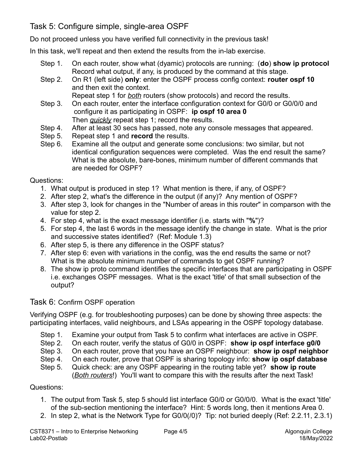### Task 5: Configure simple, single-area OSPF

Do not proceed unless you have verified full connectivity in the previous task!

In this task, we'll repeat and then extend the results from the in-lab exercise.

- Step 1. On each router, show what (dyamic) protocols are running: (**do**) **show ip protocol** Record what output, if any, is produced by the command at this stage.
- Step 2. On R1 (left side) **only**: enter the OSPF process config context: **router ospf 10** and then exit the context.
	- Repeat step 1 for *both* routers (show protocols) and record the results.
- Step 3. On each router, enter the interface configuration context for G0/0 or G0/0/0 and configure it as participating in OSPF: **ip ospf 10 area 0** Then *quickly* repeat step 1; record the results.
- Step 4. After at least 30 secs has passed, note any console messages that appeared.
- Step 5. Repeat step 1 and **record** the results.
- Step 6. Examine all the output and generate some conclusions: two similar, but not identical configuration sequences were completed. Was the end result the same? What is the absolute, bare-bones, minimum number of different commands that are needed for OSPF?

Questions:

- 1. What output is produced in step 1? What mention is there, if any, of OSPF?
- 2. After step 2, what's the difference in the output (if any)? Any mention of OSPF?
- 3. After step 3, look for changes in the "Number of areas in this router" in comparson with the value for step 2.
- 4. For step 4, what is the exact message identifier (i.e. starts with "**%**")?
- 5. For step 4, the last 6 words in the message identify the change in state. What is the prior and successive states identified? (Ref: Module 1.3)
- 6. After step 5, is there any difference in the OSPF status?
- 7. After step 6: even with variations in the config, was the end results the same or not? What is the absolute minimum number of commands to get OSPF running?
- 8. The show ip proto command identifies the specific interfaces that are participating in OSPF i.e. exchanges OSPF messages. What is the exact 'title' of that small subsection of the output?

### Task 6: Confirm OSPF operation

Verifying OSPF (e.g. for troubleshooting purposes) can be done by showing three aspects: the participating interfaces, valid neighbours, and LSAs appearing in the OSPF topology database.

- Step 1. Examine your output from Task 5 to confirm what interfaces are active in OSPF.
- Step 2. On each router, verify the status of G0/0 in OSPF: **show ip ospf interface g0/0**
- Step 3. On each router, prove that you have an OSPF neighbour: **show ip ospf neighbor**
- Step 4. On each router, prove that OSPF is sharing topology info: **show ip ospf database**
- Step 5. Quick check: are any OSPF appearing in the routing table yet? **show ip route** (*Both routers*!) You'll want to compare this with the results after the next Task!

### Questions:

- 1. The output from Task 5, step 5 should list interface G0/0 or G0/0/0. What is the exact 'title' of the sub-section mentioning the interface? Hint: 5 words long, then it mentions Area 0.
- 2. In step 2, what is the Network Type for G0/0(/0)? Tip: not buried deeply (Ref: 2.2.11, 2.3.1)